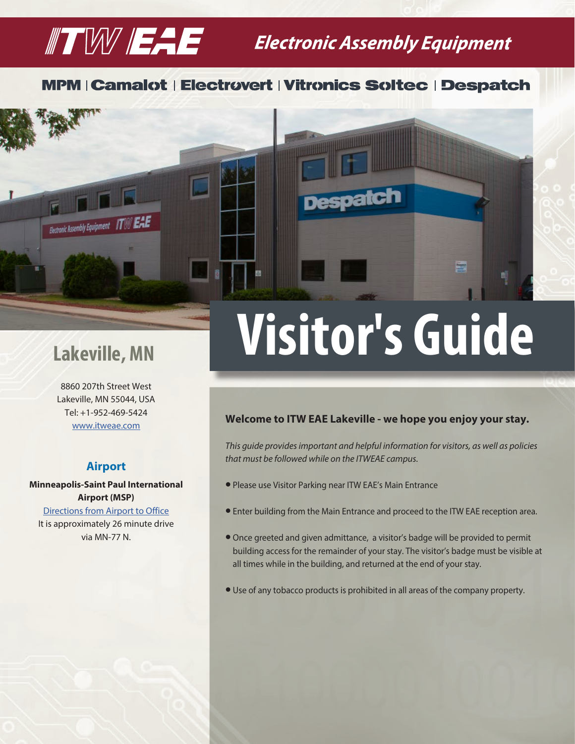## $\mathbb{Z}$   $\mathbb{Z}$   $\mathbb{Z}$   $\mathbb{Z}$   $\mathbb{Z}$  Electronic Assembly Equipment

### **MPM | Camalot | Electrovert | Vitronics Soltec | Despatch**



# Lakeville, MN **Visitor's Guide**

patch

8860 207th Street West Lakeville, MN 55044, USA Tel: +1-952-469-5424 [www.itweae.com](https://www.itweae.com/)

#### **Airport**

**Minneapolis-Saint Paul International Airport (MSP)**

[Directions from Airport to Office](https://www.google.com/maps/dir/8860+207th+Street+West,+Lakeville,+MN,+USA/Minneapolis-St.+Paul+International+Airport+(Terminal+2),+Fort+Snelling+Unorganized+Territory,+MN+55111,+United+States/@44.762975,-93.3919285,11z/data=!3m1!4b1!4m13!4m12!1m5!1m1!1s0x87f6481b76d7c40b:0x3417a4b4bb3c8f24!2m2!1d-93.2454074!2d44.6492771!1m5!1m1!1s0x87f62f2e3a8f6a59:0xb4b0a18a3d9f45d1!2m2!1d-93.2277745!2d44.8735888) It is approximately 26 minute drive via MN-77 N.

#### **Welcome to ITW EAE Lakeville - we hope you enjoy your stay.**

*This guide provides important and helpful information for visitors, as well as policies that must be followed while on the ITWEAE campus.*

- l Please use Visitor Parking near ITW EAE's Main Entrance
- **•** Enter building from the Main Entrance and proceed to the ITW EAE reception area.
- l Once greeted and given admittance, a visitor's badge will be provided to permit building access for the remainder of your stay. The visitor's badge must be visible at all times while in the building, and returned at the end of your stay.
- l Use of any tobacco products is prohibited in all areas of the company property.